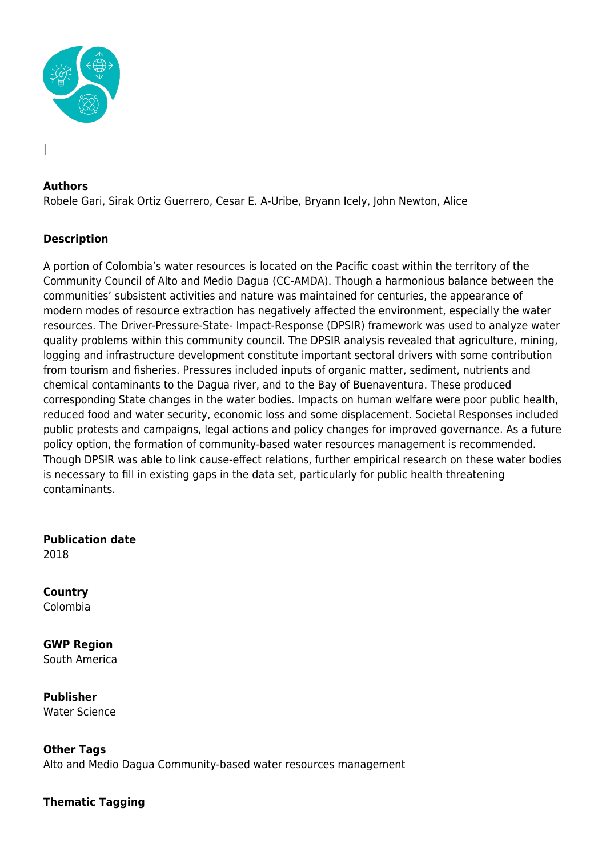

### **Authors**

|

Robele Gari, Sirak Ortiz Guerrero, Cesar E. A-Uribe, Bryann Icely, John Newton, Alice

## **Description**

A portion of Colombia's water resources is located on the Pacific coast within the territory of the Community Council of Alto and Medio Dagua (CC-AMDA). Though a harmonious balance between the communities' subsistent activities and nature was maintained for centuries, the appearance of modern modes of resource extraction has negatively affected the environment, especially the water resources. The Driver-Pressure-State- Impact-Response (DPSIR) framework was used to analyze water quality problems within this community council. The DPSIR analysis revealed that agriculture, mining, logging and infrastructure development constitute important sectoral drivers with some contribution from tourism and fisheries. Pressures included inputs of organic matter, sediment, nutrients and chemical contaminants to the Dagua river, and to the Bay of Buenaventura. These produced corresponding State changes in the water bodies. Impacts on human welfare were poor public health, reduced food and water security, economic loss and some displacement. Societal Responses included public protests and campaigns, legal actions and policy changes for improved governance. As a future policy option, the formation of community-based water resources management is recommended. Though DPSIR was able to link cause-effect relations, further empirical research on these water bodies is necessary to fill in existing gaps in the data set, particularly for public health threatening contaminants.

**Publication date** 2018

**Country** Colombia

**GWP Region** South America

**Publisher** Water Science

**Other Tags**

Alto and Medio Dagua Community-based water resources management

**Thematic Tagging**